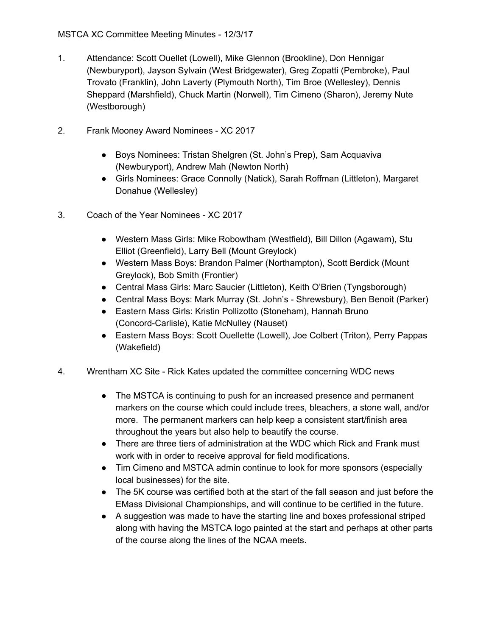- 1. Attendance: Scott Ouellet (Lowell), Mike Glennon (Brookline), Don Hennigar (Newburyport), Jayson Sylvain (West Bridgewater), Greg Zopatti (Pembroke), Paul Trovato (Franklin), John Laverty (Plymouth North), Tim Broe (Wellesley), Dennis Sheppard (Marshfield), Chuck Martin (Norwell), Tim Cimeno (Sharon), Jeremy Nute (Westborough)
- 2. Frank Mooney Award Nominees XC 2017
	- Boys Nominees: Tristan Shelgren (St. John's Prep), Sam Acquaviva (Newburyport), Andrew Mah (Newton North)
	- Girls Nominees: Grace Connolly (Natick), Sarah Roffman (Littleton), Margaret Donahue (Wellesley)
- 3. Coach of the Year Nominees XC 2017
	- Western Mass Girls: Mike Robowtham (Westfield), Bill Dillon (Agawam), Stu Elliot (Greenfield), Larry Bell (Mount Greylock)
	- Western Mass Boys: Brandon Palmer (Northampton), Scott Berdick (Mount Greylock), Bob Smith (Frontier)
	- Central Mass Girls: Marc Saucier (Littleton), Keith O'Brien (Tyngsborough)
	- Central Mass Boys: Mark Murray (St. John's Shrewsbury), Ben Benoit (Parker)
	- Eastern Mass Girls: Kristin Pollizotto (Stoneham), Hannah Bruno (Concord-Carlisle), Katie McNulley (Nauset)
	- Eastern Mass Boys: Scott Ouellette (Lowell), Joe Colbert (Triton), Perry Pappas (Wakefield)
- 4. Wrentham XC Site Rick Kates updated the committee concerning WDC news
	- The MSTCA is continuing to push for an increased presence and permanent markers on the course which could include trees, bleachers, a stone wall, and/or more. The permanent markers can help keep a consistent start/finish area throughout the years but also help to beautify the course.
	- There are three tiers of administration at the WDC which Rick and Frank must work with in order to receive approval for field modifications.
	- Tim Cimeno and MSTCA admin continue to look for more sponsors (especially local businesses) for the site.
	- The 5K course was certified both at the start of the fall season and just before the EMass Divisional Championships, and will continue to be certified in the future.
	- A suggestion was made to have the starting line and boxes professional striped along with having the MSTCA logo painted at the start and perhaps at other parts of the course along the lines of the NCAA meets.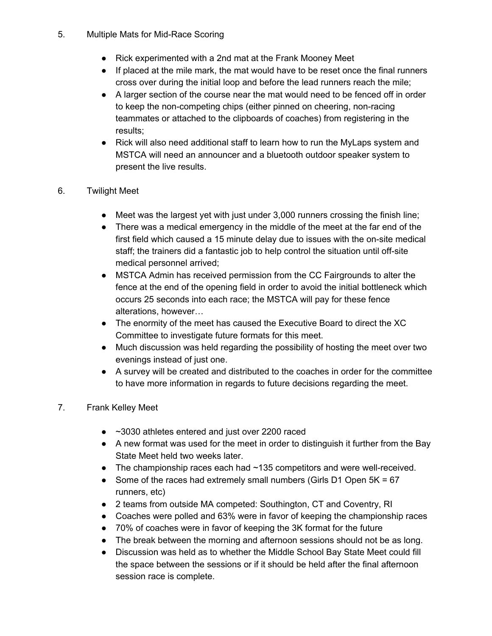- 5. Multiple Mats for Mid-Race Scoring
	- Rick experimented with a 2nd mat at the Frank Mooney Meet
	- If placed at the mile mark, the mat would have to be reset once the final runners cross over during the initial loop and before the lead runners reach the mile;
	- A larger section of the course near the mat would need to be fenced off in order to keep the non-competing chips (either pinned on cheering, non-racing teammates or attached to the clipboards of coaches) from registering in the results;
	- Rick will also need additional staff to learn how to run the MyLaps system and MSTCA will need an announcer and a bluetooth outdoor speaker system to present the live results.
- 6. Twilight Meet
	- Meet was the largest yet with just under 3,000 runners crossing the finish line;
	- There was a medical emergency in the middle of the meet at the far end of the first field which caused a 15 minute delay due to issues with the on-site medical staff; the trainers did a fantastic job to help control the situation until off-site medical personnel arrived;
	- MSTCA Admin has received permission from the CC Fairgrounds to alter the fence at the end of the opening field in order to avoid the initial bottleneck which occurs 25 seconds into each race; the MSTCA will pay for these fence alterations, however…
	- The enormity of the meet has caused the Executive Board to direct the XC Committee to investigate future formats for this meet.
	- Much discussion was held regarding the possibility of hosting the meet over two evenings instead of just one.
	- A survey will be created and distributed to the coaches in order for the committee to have more information in regards to future decisions regarding the meet.

## 7. Frank Kelley Meet

- ~3030 athletes entered and just over 2200 raced
- A new format was used for the meet in order to distinguish it further from the Bay State Meet held two weeks later.
- The championship races each had  $\sim$  135 competitors and were well-received.
- Some of the races had extremely small numbers (Girls D1 Open 5K = 67 runners, etc)
- 2 teams from outside MA competed: Southington, CT and Coventry, RI
- Coaches were polled and 63% were in favor of keeping the championship races
- 70% of coaches were in favor of keeping the 3K format for the future
- The break between the morning and afternoon sessions should not be as long.
- Discussion was held as to whether the Middle School Bay State Meet could fill the space between the sessions or if it should be held after the final afternoon session race is complete.